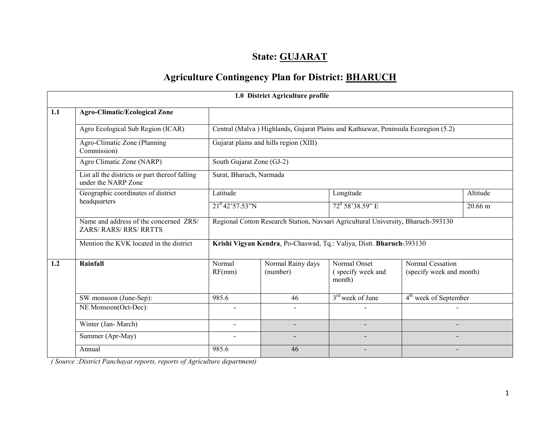# State: GUJARAT

# Agriculture Contingency Plan for District: BHARUCH

|     |                                                                       |                                                                      | 1.0 District Agriculture profile |                                                                                    |                                              |                   |  |  |  |
|-----|-----------------------------------------------------------------------|----------------------------------------------------------------------|----------------------------------|------------------------------------------------------------------------------------|----------------------------------------------|-------------------|--|--|--|
| 1.1 | <b>Agro-Climatic/Ecological Zone</b>                                  |                                                                      |                                  |                                                                                    |                                              |                   |  |  |  |
|     | Agro Ecological Sub Region (ICAR)                                     |                                                                      |                                  | Central (Malva) Highlands, Gujarat Plains and Kathiawar, Peninsula Ecoregion (5.2) |                                              |                   |  |  |  |
|     | Agro-Climatic Zone (Planning<br>Commission)                           | Gujarat plains and hills region (XIII)                               |                                  |                                                                                    |                                              |                   |  |  |  |
|     | Agro Climatic Zone (NARP)                                             | South Gujarat Zone (GJ-2)                                            |                                  |                                                                                    |                                              |                   |  |  |  |
|     | List all the districts or part thereof falling<br>under the NARP Zone | Surat, Bharuch, Narmada                                              |                                  |                                                                                    |                                              |                   |  |  |  |
|     | Geographic coordinates of district                                    | Latitude                                                             |                                  | Longitude                                                                          |                                              | Altitude          |  |  |  |
|     | headquarters                                                          | $21^{0}42'57.53''N$                                                  |                                  | $72^{\circ}$ 58'38.59" E                                                           |                                              | $20.66 \text{ m}$ |  |  |  |
|     | Name and address of the concerned ZRS/<br>ZARS/RARS/RRS/RRTTS         |                                                                      |                                  | Regional Cotton Research Station, Navsari Agricultural University, Bharuch-393130  |                                              |                   |  |  |  |
|     | Mention the KVK located in the district                               | Krishi Vigyan Kendra, Po-Chaswad, Tq.: Valiya, Distt. Bharuch-393130 |                                  |                                                                                    |                                              |                   |  |  |  |
| 1.2 | Rainfall                                                              | Normal<br>RF(mm)                                                     | Normal Rainy days<br>(number)    | Normal Onset<br>(specify week and<br>month)                                        | Normal Cessation<br>(specify week and month) |                   |  |  |  |
|     | SW monsoon (June-Sep):                                                | 985.6                                                                | 46                               | $3rd$ week of June                                                                 | 4 <sup>th</sup> week of September            |                   |  |  |  |
|     | NE Monsoon(Oct-Dec):                                                  | $\blacksquare$                                                       |                                  |                                                                                    |                                              |                   |  |  |  |
|     | Winter (Jan-March)                                                    | $\overline{a}$                                                       |                                  |                                                                                    |                                              |                   |  |  |  |
|     | Summer (Apr-May)                                                      | $\blacksquare$                                                       | $\blacksquare$                   |                                                                                    |                                              |                   |  |  |  |
|     | Annual                                                                | 985.6                                                                | 46                               | $\overline{\phantom{a}}$                                                           | $\overline{\phantom{a}}$                     |                   |  |  |  |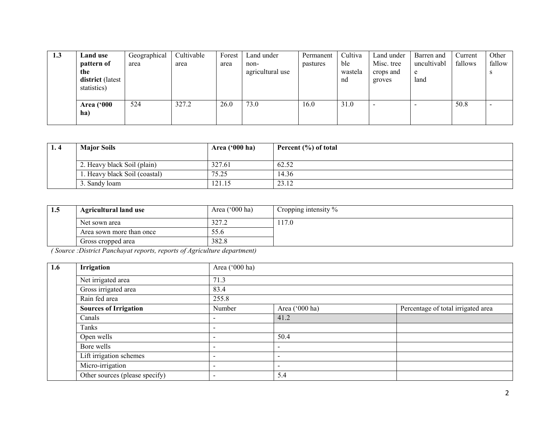| 1.3 | Land use                        | Geographical | Cultivable | Forest | Land under       | Permanent | Cultiva | Land under | Barren and  | Current | Other  |
|-----|---------------------------------|--------------|------------|--------|------------------|-----------|---------|------------|-------------|---------|--------|
|     | pattern of                      | area         | area       | area   | non-             | pastures  | ble     | Misc. tree | uncultivabl | fallows | fallow |
|     | the                             |              |            |        | agricultural use |           | wastela | crops and  | e           |         |        |
|     | district (latest<br>statistics) |              |            |        |                  |           | nd      | groves     | land        |         |        |
|     |                                 |              |            |        |                  |           |         |            |             |         |        |
|     | <b>Area</b> ('000               | 524          | 327.2      | 26.0   | 73.0             | 16.0      | 31.0    |            |             | 50.8    |        |
|     | ha)                             |              |            |        |                  |           |         |            |             |         |        |
|     |                                 |              |            |        |                  |           |         |            |             |         |        |

| 1.4 | <b>Major Soils</b>           | Area ('000 ha) | Percent $(\% )$ of total |
|-----|------------------------------|----------------|--------------------------|
|     | 2. Heavy black Soil (plain)  | 327.61         | 62.52                    |
|     | . Heavy black Soil (coastal) | 75.25          | 14.36                    |
|     | Sandy loam                   | 121.15         | 23.12                    |

| 1.5 | <b>Agricultural land use</b> | Area $('000 ha)$ | Cropping intensity $\%$ |
|-----|------------------------------|------------------|-------------------------|
|     | Net sown area                | 327.2            | 17.0                    |
|     | Area sown more than once     | 55.6             |                         |
|     | Gross cropped area           | 382.8            |                         |

| 1.6 | Irrigation                     | Area ('000 ha)           |                          |                                    |  |  |  |
|-----|--------------------------------|--------------------------|--------------------------|------------------------------------|--|--|--|
|     | Net irrigated area             | 71.3                     |                          |                                    |  |  |  |
|     | Gross irrigated area           | 83.4                     |                          |                                    |  |  |  |
|     | Rain fed area                  | 255.8                    |                          |                                    |  |  |  |
|     | <b>Sources of Irrigation</b>   | Number                   | Area ('000 ha)           | Percentage of total irrigated area |  |  |  |
|     | Canals                         | -                        | 41.2                     |                                    |  |  |  |
|     | Tanks                          | $\qquad \qquad$          |                          |                                    |  |  |  |
|     | Open wells                     | -                        | 50.4                     |                                    |  |  |  |
|     | Bore wells                     | -                        | $\overline{\phantom{a}}$ |                                    |  |  |  |
|     | Lift irrigation schemes        | $\overline{\phantom{a}}$ | $\overline{\phantom{a}}$ |                                    |  |  |  |
|     | Micro-irrigation               | $\,$                     | $\overline{\phantom{a}}$ |                                    |  |  |  |
|     | Other sources (please specify) | $\overline{\phantom{a}}$ | 5.4                      |                                    |  |  |  |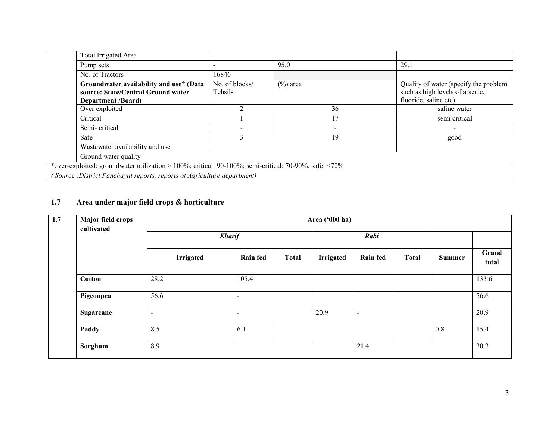| <b>Total Irrigated Area</b>                                                                                |                           |                          |                                                                                                   |  |  |  |  |
|------------------------------------------------------------------------------------------------------------|---------------------------|--------------------------|---------------------------------------------------------------------------------------------------|--|--|--|--|
| Pump sets                                                                                                  |                           | 95.0                     | 29.1                                                                                              |  |  |  |  |
| No. of Tractors                                                                                            | 16846                     |                          |                                                                                                   |  |  |  |  |
| Groundwater availability and use* (Data<br>source: State/Central Ground water<br><b>Department /Board)</b> | No. of blocks/<br>Tehsils | $(\%)$ area              | Quality of water (specify the problem<br>such as high levels of arsenic,<br>fluoride, saline etc) |  |  |  |  |
| Over exploited                                                                                             |                           | 36                       | saline water                                                                                      |  |  |  |  |
| Critical                                                                                                   |                           | 17                       | semi critical                                                                                     |  |  |  |  |
| Semi-critical                                                                                              |                           | $\overline{\phantom{a}}$ |                                                                                                   |  |  |  |  |
| Safe                                                                                                       |                           | 19                       | good                                                                                              |  |  |  |  |
| Wastewater availability and use                                                                            |                           |                          |                                                                                                   |  |  |  |  |
| Ground water quality                                                                                       |                           |                          |                                                                                                   |  |  |  |  |
| *over-exploited: groundwater utilization > 100%; critical: 90-100%; semi-critical: 70-90%; safe: <70%      |                           |                          |                                                                                                   |  |  |  |  |
| (Source: District Panchayat reports, reports of Agriculture department)                                    |                           |                          |                                                                                                   |  |  |  |  |

#### 1.7 Area under major field crops & horticulture

| 1.7 | <b>Major field crops</b><br>cultivated |                  | Area ('000 ha)           |              |                  |                 |              |               |                |  |  |  |  |
|-----|----------------------------------------|------------------|--------------------------|--------------|------------------|-----------------|--------------|---------------|----------------|--|--|--|--|
|     |                                        |                  | <b>Kharif</b>            |              | Rabi             |                 |              |               |                |  |  |  |  |
|     |                                        | <b>Irrigated</b> | <b>Rain fed</b>          | <b>Total</b> | <b>Irrigated</b> | <b>Rain fed</b> | <b>Total</b> | <b>Summer</b> | Grand<br>total |  |  |  |  |
|     | <b>Cotton</b>                          | 28.2             | 105.4                    |              |                  |                 |              |               | 133.6          |  |  |  |  |
|     | Pigeonpea                              | 56.6             | $\overline{\phantom{a}}$ |              |                  |                 |              |               | 56.6           |  |  |  |  |
|     | Sugarcane                              | $\sim$           | $\overline{\phantom{a}}$ |              | 20.9             | $\sim$          |              |               | 20.9           |  |  |  |  |
|     | Paddy                                  | 8.5              | 6.1                      |              |                  |                 |              | 0.8           | 15.4           |  |  |  |  |
|     | Sorghum                                | 8.9              |                          |              |                  | 21.4            |              |               | 30.3           |  |  |  |  |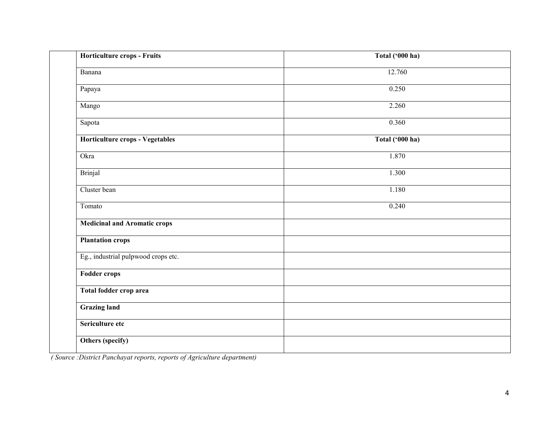| Horticulture crops - Fruits         | Total ('000 ha) |
|-------------------------------------|-----------------|
| Banana                              | 12.760          |
| Papaya                              | 0.250           |
| Mango                               | 2.260           |
| Sapota                              | 0.360           |
| Horticulture crops - Vegetables     | Total ('000 ha) |
| Okra                                | 1.870           |
| Brinjal                             | 1.300           |
| Cluster bean                        | 1.180           |
| Tomato                              | 0.240           |
| <b>Medicinal and Aromatic crops</b> |                 |
| <b>Plantation crops</b>             |                 |
| Eg., industrial pulpwood crops etc. |                 |
| <b>Fodder crops</b>                 |                 |
| Total fodder crop area              |                 |
| <b>Grazing land</b>                 |                 |
| Sericulture etc                     |                 |
| Others (specify)                    |                 |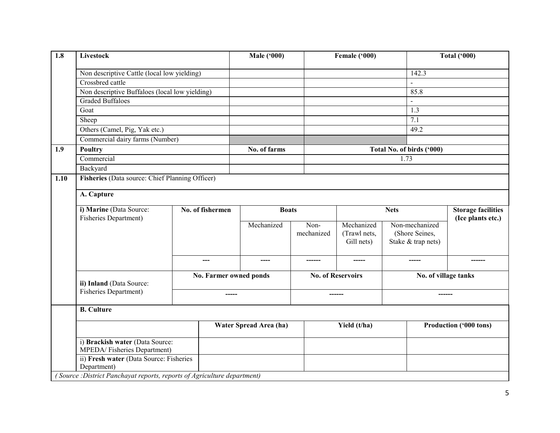| 1.8  | <b>Livestock</b>                                                        |  |                        | <b>Male ('000)</b>     |            | Female ('000)                |      | <b>Total ('000)</b>       |                           |  |
|------|-------------------------------------------------------------------------|--|------------------------|------------------------|------------|------------------------------|------|---------------------------|---------------------------|--|
|      | Non descriptive Cattle (local low yielding)                             |  |                        |                        |            |                              |      | 142.3                     |                           |  |
|      | Crossbred cattle                                                        |  |                        |                        |            |                              |      |                           |                           |  |
|      | Non descriptive Buffaloes (local low yielding)                          |  |                        |                        |            |                              |      | 85.8                      |                           |  |
|      | Graded Buffaloes                                                        |  |                        |                        |            |                              |      |                           |                           |  |
|      | Goat                                                                    |  |                        |                        |            |                              |      | 1.3                       |                           |  |
|      | Sheep                                                                   |  |                        |                        |            |                              |      | $\overline{7.1}$          |                           |  |
|      | Others (Camel, Pig, Yak etc.)                                           |  |                        |                        |            |                              |      | 49.2                      |                           |  |
|      | Commercial dairy farms (Number)                                         |  |                        |                        |            |                              |      |                           |                           |  |
| 1.9  | <b>Poultry</b>                                                          |  |                        | No. of farms           |            |                              |      | Total No. of birds ('000) |                           |  |
|      | Commercial                                                              |  |                        |                        |            |                              | 1.73 |                           |                           |  |
|      | Backyard                                                                |  |                        |                        |            |                              |      |                           |                           |  |
| 1.10 | Fisheries (Data source: Chief Planning Officer)                         |  |                        |                        |            |                              |      |                           |                           |  |
|      |                                                                         |  |                        |                        |            |                              |      |                           |                           |  |
|      | A. Capture                                                              |  |                        |                        |            |                              |      |                           |                           |  |
|      | i) Marine (Data Source:<br>No. of fishermen                             |  |                        | <b>Boats</b>           |            | <b>Nets</b>                  |      |                           | <b>Storage facilities</b> |  |
|      | <b>Fisheries Department)</b>                                            |  |                        | Non-<br>Mechanized     |            | Non-mechanized<br>Mechanized |      |                           | (Ice plants etc.)         |  |
|      |                                                                         |  |                        |                        | mechanized | (Trawl nets,                 |      | (Shore Seines,            |                           |  |
|      |                                                                         |  |                        |                        |            | Gill nets)                   |      | Stake & trap nets)        |                           |  |
|      |                                                                         |  |                        |                        |            |                              |      |                           |                           |  |
|      |                                                                         |  | ---                    | ----                   |            |                              |      |                           | -------                   |  |
|      |                                                                         |  |                        |                        |            |                              |      |                           |                           |  |
|      | ii) Inland (Data Source:                                                |  | No. Farmer owned ponds |                        |            | <b>No. of Reservoirs</b>     |      | No. of village tanks      |                           |  |
|      | <b>Fisheries Department)</b>                                            |  |                        |                        |            |                              |      |                           |                           |  |
|      |                                                                         |  | -----                  |                        |            | ------                       |      | -------                   |                           |  |
|      | <b>B.</b> Culture                                                       |  |                        |                        |            |                              |      |                           |                           |  |
|      |                                                                         |  |                        | Water Spread Area (ha) |            |                              |      |                           |                           |  |
|      |                                                                         |  |                        |                        |            | Yield (t/ha)                 |      |                           | Production ('000 tons)    |  |
|      | i) Brackish water (Data Source:<br>MPEDA/Fisheries Department)          |  |                        |                        |            |                              |      |                           |                           |  |
|      | ii) Fresh water (Data Source: Fisheries<br>Department)                  |  |                        |                        |            |                              |      |                           |                           |  |
|      | (Source: District Panchayat reports, reports of Agriculture department) |  |                        |                        |            |                              |      |                           |                           |  |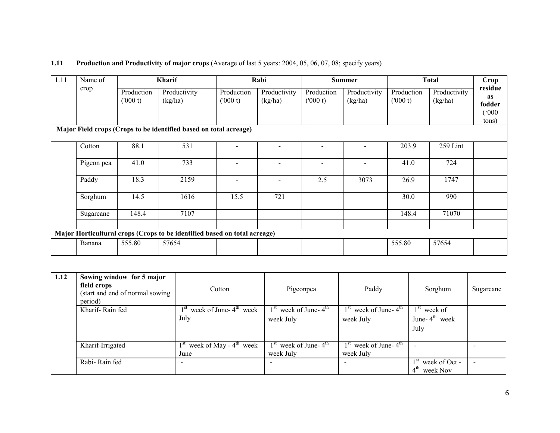#### **1.11** Production and Productivity of major crops (Average of last 5 years: 2004, 05, 06, 07, 08; specify years)

| 1.11 | Name of    | <b>Kharif</b>         |                                                                           |                          | Rabi                    |                       | <b>Summer</b>           |                       | <b>Total</b>            | Crop                                      |
|------|------------|-----------------------|---------------------------------------------------------------------------|--------------------------|-------------------------|-----------------------|-------------------------|-----------------------|-------------------------|-------------------------------------------|
|      | crop       | Production<br>(000 t) | Productivity<br>(kg/ha)                                                   | Production<br>(000 t)    | Productivity<br>(kg/ha) | Production<br>(000 t) | Productivity<br>(kg/ha) | Production<br>(000 t) | Productivity<br>(kg/ha) | residue<br>as<br>fodder<br>(000)<br>tons) |
|      |            |                       | Major Field crops (Crops to be identified based on total acreage)         |                          |                         |                       |                         |                       |                         |                                           |
|      | Cotton     | 88.1                  | 531                                                                       |                          |                         |                       |                         | 203.9                 | 259 Lint                |                                           |
|      | Pigeon pea | 41.0                  | 733                                                                       | $\overline{\phantom{a}}$ |                         |                       |                         | 41.0                  | 724                     |                                           |
|      | Paddy      | 18.3                  | 2159                                                                      | $\overline{\phantom{a}}$ |                         | 2.5                   | 3073                    | 26.9                  | 1747                    |                                           |
|      | Sorghum    | 14.5                  | 1616                                                                      | 15.5                     | 721                     |                       |                         | 30.0                  | 990                     |                                           |
|      | Sugarcane  | 148.4                 | 7107                                                                      |                          |                         |                       |                         | 148.4                 | 71070                   |                                           |
|      |            |                       | Major Horticultural crops (Crops to be identified based on total acreage) |                          |                         |                       |                         |                       |                         |                                           |
|      | Banana     | 555.80                | 57654                                                                     |                          |                         |                       |                         | 555.80                | 57654                   |                                           |

| 1.12 | Sowing window for 5 major<br>field crops<br>(start and end of normal sowing)<br>period) | Cotton                                     | Pigeonpea                              | Paddy                                  | Sorghum                                      | Sugarcane |
|------|-----------------------------------------------------------------------------------------|--------------------------------------------|----------------------------------------|----------------------------------------|----------------------------------------------|-----------|
|      | Kharif-Rain fed                                                                         | week of June- $4th$ week<br>July           | $1st$ week of June- $4th$<br>week July | $1st$ week of June- $4th$<br>week July | $1st$ week of<br>June- $4^{th}$ week<br>July |           |
|      | Kharif-Irrigated                                                                        | week of May - $4^{\text{th}}$ week<br>June | $1st$ week of June- $4th$<br>week July | $1st$ week of June- $4th$<br>week July |                                              |           |
|      | Rabi-Rain fed                                                                           | $\overline{\phantom{0}}$                   |                                        | $\overline{\phantom{0}}$               | $1st$ week of Oct -<br>$4th$ week Nov        | $\sim$    |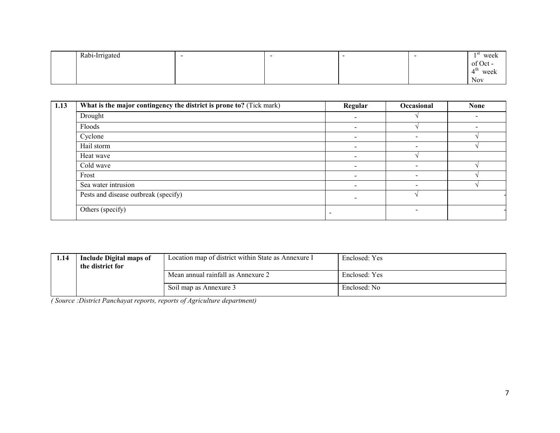| Rabi-Irrigated | . . |  | - 51<br>week |
|----------------|-----|--|--------------|
|                |     |  | of Oct       |
|                |     |  | 4 U.<br>week |
|                |     |  | <b>Nov</b>   |

| $\overline{1.13}$ | What is the major contingency the district is prone to? (Tick mark) | Regular | Occasional               | <b>None</b> |
|-------------------|---------------------------------------------------------------------|---------|--------------------------|-------------|
|                   | Drought                                                             |         |                          |             |
|                   | Floods                                                              |         |                          |             |
|                   | Cyclone                                                             |         |                          |             |
|                   | Hail storm                                                          |         |                          |             |
|                   | Heat wave                                                           |         |                          |             |
|                   | Cold wave                                                           |         |                          |             |
|                   | Frost                                                               |         | $\overline{\phantom{0}}$ |             |
|                   | Sea water intrusion                                                 |         |                          |             |
|                   | Pests and disease outbreak (specify)                                |         |                          |             |
|                   | Others (specify)                                                    |         |                          |             |

| 1.14 | Include Digital maps of<br>the district for | Location map of district within State as Annexure I | Enclosed: Yes |
|------|---------------------------------------------|-----------------------------------------------------|---------------|
|      |                                             | Mean annual rainfall as Annexure 2                  | Enclosed: Yes |
|      |                                             | Soil map as Annexure 3                              | Enclosed: No  |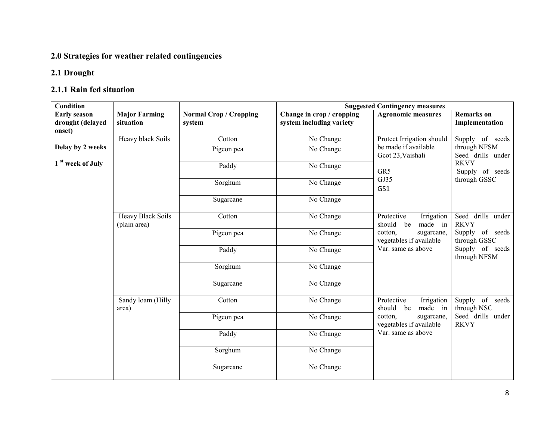### 2.0 Strategies for weather related contingencies

#### 2.1 Drought

## 2.1.1 Rain fed situation

| <b>Condition</b>                                  |                                          |                                         | <b>Suggested Contingency measures</b>                 |                                                     |                                                                    |
|---------------------------------------------------|------------------------------------------|-----------------------------------------|-------------------------------------------------------|-----------------------------------------------------|--------------------------------------------------------------------|
| <b>Early season</b><br>drought (delayed<br>onset) | <b>Major Farming</b><br>situation        | <b>Normal Crop / Cropping</b><br>system | Change in crop / cropping<br>system including variety | <b>Agronomic measures</b>                           | <b>Remarks</b> on<br>Implementation                                |
|                                                   | <b>Heavy black Soils</b>                 | Cotton                                  | No Change                                             | Protect Irrigation should                           | Supply of seeds                                                    |
| Delay by 2 weeks                                  |                                          | Pigeon pea                              | No Change                                             | be made if available<br>Gcot 23, Vaishali           | through NFSM<br>Seed drills under                                  |
| 1 <sup>st</sup> week of July                      |                                          | Paddy                                   | No Change                                             | GR5                                                 | <b>RKVY</b><br>Supply of seeds                                     |
|                                                   |                                          | Sorghum                                 | No Change                                             | GJ35<br>GS1                                         | through GSSC                                                       |
|                                                   |                                          | Sugarcane                               | No Change                                             |                                                     |                                                                    |
|                                                   | <b>Heavy Black Soils</b><br>(plain area) | Cotton                                  | No Change                                             | Protective<br>Irrigation<br>should<br>made in<br>be | Seed drills under<br><b>RKVY</b>                                   |
|                                                   |                                          | Pigeon pea                              | No Change<br>cotton,                                  | sugarcane,<br>vegetables if available               | Supply of seeds<br>through GSSC<br>Supply of seeds<br>through NFSM |
|                                                   |                                          | Paddy                                   | No Change                                             | Var. same as above                                  |                                                                    |
|                                                   |                                          | Sorghum                                 | No Change                                             |                                                     |                                                                    |
|                                                   |                                          | Sugarcane                               | No Change                                             |                                                     |                                                                    |
|                                                   | Sandy loam (Hilly<br>area)               | Cotton                                  | No Change                                             | Irrigation<br>Protective<br>should<br>made in<br>be | Supply of seeds<br>through NSC                                     |
|                                                   |                                          | Pigeon pea                              | No Change                                             | cotton,<br>sugarcane,<br>vegetables if available    | Seed drills under<br><b>RKVY</b>                                   |
|                                                   |                                          | Paddy                                   | No Change                                             | Var. same as above                                  |                                                                    |
|                                                   |                                          | Sorghum                                 | No Change                                             |                                                     |                                                                    |
|                                                   |                                          | Sugarcane                               | No Change                                             |                                                     |                                                                    |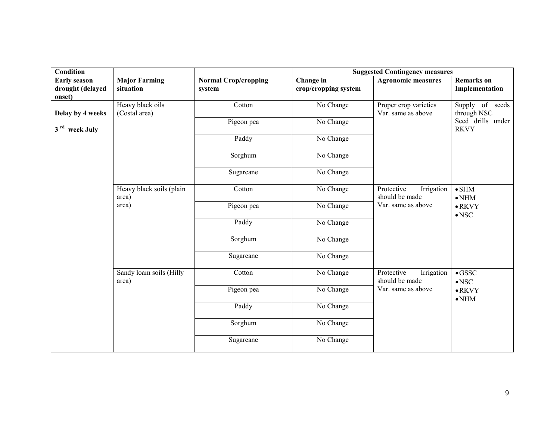| Condition                                         |                                   |                                       | <b>Suggested Contingency measures</b> |                                                                  |                                     |
|---------------------------------------------------|-----------------------------------|---------------------------------------|---------------------------------------|------------------------------------------------------------------|-------------------------------------|
| <b>Early season</b><br>drought (delayed<br>onset) | <b>Major Farming</b><br>situation | <b>Normal Crop/cropping</b><br>system | Change in<br>crop/cropping system     | <b>Agronomic measures</b>                                        | <b>Remarks</b> on<br>Implementation |
| Delay by 4 weeks                                  | Heavy black oils<br>(Costal area) | Cotton                                | No Change                             | Proper crop varieties<br>Var. same as above                      | Supply of seeds<br>through NSC      |
| 3 <sup>rd</sup> week July                         |                                   | Pigeon pea                            | No Change                             |                                                                  | Seed drills under<br><b>RKVY</b>    |
|                                                   |                                   | Paddy                                 | No Change                             |                                                                  |                                     |
|                                                   |                                   | Sorghum                               | No Change                             |                                                                  |                                     |
|                                                   |                                   | Sugarcane                             | No Change                             |                                                                  |                                     |
|                                                   | Heavy black soils (plain<br>area) | Cotton                                | No Change                             | Protective<br>Irrigation<br>should be made<br>Var. same as above | $\bullet$ SHM<br>$\bullet$ NHM      |
|                                                   | area)                             | Pigeon pea                            | No Change                             |                                                                  | $\bullet$ RKVY<br>$\bullet$ NSC     |
|                                                   |                                   | Paddy                                 | No Change                             |                                                                  |                                     |
|                                                   |                                   | Sorghum                               | No Change                             |                                                                  |                                     |
|                                                   |                                   | Sugarcane                             | No Change                             |                                                                  |                                     |
|                                                   | Sandy loam soils (Hilly<br>area)  | Cotton                                | No Change                             | Protective<br>Irrigation<br>should be made                       | $\bullet$ GSSC<br>$\bullet$ NSC     |
|                                                   |                                   | Pigeon pea                            | No Change                             | Var. same as above                                               | $\bullet$ RKVY<br>$\bullet$ NHM     |
|                                                   |                                   | Paddy                                 | No Change                             |                                                                  |                                     |
|                                                   |                                   | Sorghum                               | No Change                             |                                                                  |                                     |
|                                                   |                                   | Sugarcane                             | No Change                             |                                                                  |                                     |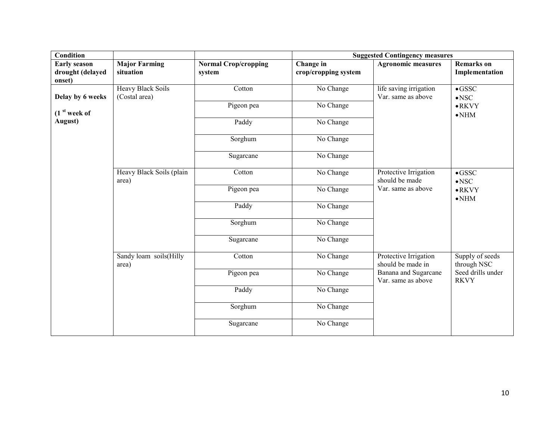| Condition                                         |                                    |                                       | <b>Suggested Contingency measures</b> |                                              |                                     |
|---------------------------------------------------|------------------------------------|---------------------------------------|---------------------------------------|----------------------------------------------|-------------------------------------|
| <b>Early season</b><br>drought (delayed<br>onset) | <b>Major Farming</b><br>situation  | <b>Normal Crop/cropping</b><br>system | Change in<br>crop/cropping system     | <b>Agronomic measures</b>                    | <b>Remarks</b> on<br>Implementation |
| Delay by 6 weeks                                  | Heavy Black Soils<br>(Costal area) | Cotton                                | No Change                             | life saving irrigation<br>Var. same as above | $\bullet$ GSSC<br>$\bullet$ NSC     |
| (1 <sup>st</sup> week of                          |                                    | Pigeon pea                            | No Change                             |                                              | $\bullet$ RKVY<br>$\bullet$ NHM     |
| August)                                           |                                    | Paddy                                 | $\overline{No}$ Change                |                                              |                                     |
|                                                   |                                    | Sorghum                               | No Change                             |                                              |                                     |
|                                                   |                                    | Sugarcane                             | No Change                             |                                              |                                     |
|                                                   | Heavy Black Soils (plain<br>area)  | Cotton                                | No Change                             | Protective Irrigation<br>should be made      | $\bullet$ GSSC<br>$\bullet$ NSC     |
|                                                   |                                    | Pigeon pea                            | No Change                             | Var. same as above                           | $\bullet$ RKVY<br>$\bullet$ NHM     |
|                                                   |                                    | Paddy                                 | No Change                             |                                              |                                     |
|                                                   |                                    | Sorghum                               | No Change                             |                                              |                                     |
|                                                   |                                    | Sugarcane                             | No Change                             |                                              |                                     |
|                                                   | Sandy loam soils(Hilly<br>area)    | Cotton                                | No Change                             | Protective Irrigation<br>should be made in   | Supply of seeds<br>through NSC      |
|                                                   |                                    | Pigeon pea                            | No Change                             | Banana and Sugarcane<br>Var. same as above   | Seed drills under<br><b>RKVY</b>    |
|                                                   |                                    | Paddy                                 | No Change                             |                                              |                                     |
|                                                   |                                    | Sorghum                               | No Change                             |                                              |                                     |
|                                                   |                                    | Sugarcane                             | No Change                             |                                              |                                     |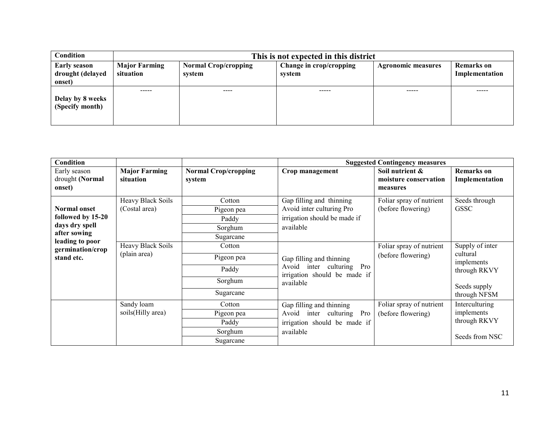| <b>Condition</b>                                  | This is not expected in this district |                                       |                                   |                           |                                     |  |
|---------------------------------------------------|---------------------------------------|---------------------------------------|-----------------------------------|---------------------------|-------------------------------------|--|
| <b>Early season</b><br>drought (delayed<br>onset) | <b>Major Farming</b><br>situation     | <b>Normal Crop/cropping</b><br>system | Change in crop/cropping<br>system | <b>Agronomic measures</b> | <b>Remarks</b> on<br>Implementation |  |
| Delay by 8 weeks<br>(Specify month)               | -----                                 | ----                                  | -----                             | -----                     | -----                               |  |

| Condition                                                                  |                                    |                                                       |                                                                                                       | <b>Suggested Contingency measures</b>                |                                                                                           |
|----------------------------------------------------------------------------|------------------------------------|-------------------------------------------------------|-------------------------------------------------------------------------------------------------------|------------------------------------------------------|-------------------------------------------------------------------------------------------|
| Early season<br>drought (Normal<br>onset)                                  | <b>Major Farming</b><br>situation  | <b>Normal Crop/cropping</b><br>system                 | Crop management                                                                                       | Soil nutrient &<br>moisture conservation<br>measures | <b>Remarks</b> on<br>Implementation                                                       |
| <b>Normal onset</b><br>followed by 15-20<br>days dry spell<br>after sowing | Heavy Black Soils<br>(Costal area) | Cotton<br>Pigeon pea<br>Paddy<br>Sorghum<br>Sugarcane | Gap filling and thinning<br>Avoid inter culturing Pro<br>irrigation should be made if<br>available    | Foliar spray of nutrient<br>(before flowering)       | Seeds through<br><b>GSSC</b>                                                              |
| leading to poor<br>germination/crop<br>stand etc.                          | Heavy Black Soils<br>(plain area)  | Cotton<br>Pigeon pea<br>Paddy<br>Sorghum<br>Sugarcane | Gap filling and thinning<br>Avoid inter culturing Pro<br>irrigation should be made if<br>available    | Foliar spray of nutrient<br>(before flowering)       | Supply of inter<br>cultural<br>implements<br>through RKVY<br>Seeds supply<br>through NFSM |
|                                                                            | Sandy loam<br>soils(Hilly area)    | Cotton<br>Pigeon pea<br>Paddy<br>Sorghum<br>Sugarcane | Gap filling and thinning<br>Avoid inter culturing<br>Pro<br>irrigation should be made if<br>available | Foliar spray of nutrient<br>(before flowering)       | Interculturing<br>implements<br>through RKVY<br>Seeds from NSC                            |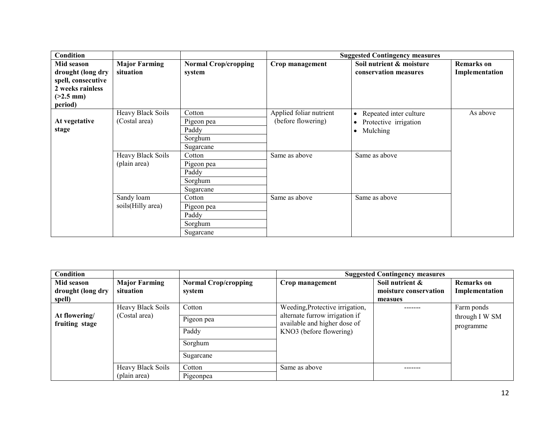| Condition                                                                                           |                                           |                                                                    |                                               | <b>Suggested Contingency measures</b>                                                              |                                     |
|-----------------------------------------------------------------------------------------------------|-------------------------------------------|--------------------------------------------------------------------|-----------------------------------------------|----------------------------------------------------------------------------------------------------|-------------------------------------|
| Mid season<br>drought (long dry<br>spell, consecutive<br>2 weeks rainless<br>$(>2.5$ mm)<br>period) | <b>Major Farming</b><br>situation         | <b>Normal Crop/cropping</b><br>system                              | Crop management                               | Soil nutrient & moisture<br>conservation measures                                                  | <b>Remarks</b> on<br>Implementation |
| At vegetative<br>stage                                                                              | <b>Heavy Black Soils</b><br>(Costal area) | Cotton<br>Pigeon pea<br>Paddy<br>Sorghum                           | Applied foliar nutrient<br>(before flowering) | Repeated inter culture<br>$\bullet$<br>Protective irrigation<br>$\bullet$<br>Mulching<br>$\bullet$ | As above                            |
|                                                                                                     | Heavy Black Soils<br>(plain area)         | Sugarcane<br>Cotton<br>Pigeon pea<br>Paddy<br>Sorghum<br>Sugarcane | Same as above                                 | Same as above                                                                                      |                                     |
|                                                                                                     | Sandy loam<br>soils (Hilly area)          | Cotton<br>Pigeon pea<br>Paddy<br>Sorghum<br>Sugarcane              | Same as above                                 | Same as above                                                                                      |                                     |

| Condition                       |                      |                             |                                                                | <b>Suggested Contingency measures</b> |                   |
|---------------------------------|----------------------|-----------------------------|----------------------------------------------------------------|---------------------------------------|-------------------|
| Mid season                      | <b>Major Farming</b> | <b>Normal Crop/cropping</b> | Crop management                                                | Soil nutrient &                       | <b>Remarks</b> on |
| drought (long dry               | situation            | system                      |                                                                | moisture conservation                 | Implementation    |
| spell)                          |                      |                             |                                                                | measues                               |                   |
|                                 | Heavy Black Soils    | Cotton                      | Weeding, Protective irrigation,                                |                                       | Farm ponds        |
| At flowering/<br>fruiting stage | (Costal area)        | Pigeon pea                  | alternate furrow irrigation if<br>available and higher dose of |                                       | through I W SM    |
|                                 |                      |                             |                                                                |                                       | programme         |
|                                 |                      | Paddy                       | KNO3 (before flowering)                                        |                                       |                   |
|                                 |                      | Sorghum                     |                                                                |                                       |                   |
|                                 |                      | Sugarcane                   |                                                                |                                       |                   |
|                                 | Heavy Black Soils    | Cotton                      | Same as above                                                  |                                       |                   |
|                                 | (plain area)         | Pigeonpea                   |                                                                |                                       |                   |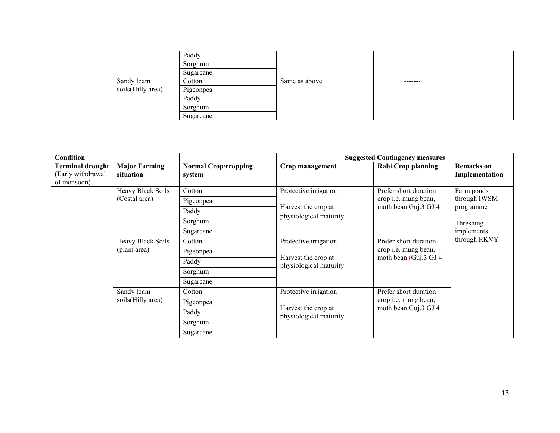|                   | Paddy     |               |          |
|-------------------|-----------|---------------|----------|
|                   | Sorghum   |               |          |
|                   | Sugarcane |               |          |
| Sandy loam        | Cotton    | Same as above | -------- |
| soils(Hilly area) | Pigeonpea |               |          |
|                   | Paddy     |               |          |
|                   | Sorghum   |               |          |
|                   | Sugarcane |               |          |

| <b>Condition</b>                                            |                                   |                                       |                                               | <b>Suggested Contingency measures</b>                                   |                                                      |
|-------------------------------------------------------------|-----------------------------------|---------------------------------------|-----------------------------------------------|-------------------------------------------------------------------------|------------------------------------------------------|
| <b>Terminal drought</b><br>(Early withdrawal<br>of monsoon) | <b>Major Farming</b><br>situation | <b>Normal Crop/cropping</b><br>system | Crop management                               | <b>Rabi Crop planning</b>                                               | <b>Remarks</b> on<br>Implementation                  |
|                                                             | Heavy Black Soils                 | Cotton                                | Protective irrigation                         | Prefer short duration                                                   | Farm ponds                                           |
|                                                             | (Costal area)                     | Pigeonpea                             |                                               | crop <i>i.e.</i> mung bean,                                             | through IWSM                                         |
|                                                             |                                   | Paddy                                 | Harvest the crop at<br>physiological maturity | moth bean Guj.3 GJ 4                                                    | programme<br>Threshing<br>implements<br>through RKVY |
|                                                             |                                   | Sorghum                               |                                               |                                                                         |                                                      |
|                                                             |                                   | Sugarcane                             |                                               |                                                                         |                                                      |
|                                                             | Heavy Black Soils                 | Cotton                                | Protective irrigation                         | Prefer short duration<br>crop i.e. mung bean,<br>moth bean (Guj.3 GJ 4) |                                                      |
|                                                             | (plain area)                      | Pigeonpea                             |                                               |                                                                         |                                                      |
|                                                             |                                   | Paddy                                 | Harvest the crop at<br>physiological maturity |                                                                         |                                                      |
|                                                             |                                   | Sorghum                               |                                               |                                                                         |                                                      |
|                                                             |                                   | Sugarcane                             |                                               |                                                                         |                                                      |
|                                                             | Sandy loam                        | Cotton                                | Protective irrigation                         | Prefer short duration                                                   |                                                      |
|                                                             | soils (Hilly area)                | Pigeonpea                             |                                               | crop <i>i.e.</i> mung bean,                                             |                                                      |
|                                                             |                                   | Paddy                                 | Harvest the crop at<br>physiological maturity | moth bean Guj.3 GJ 4                                                    |                                                      |
|                                                             |                                   | Sorghum                               |                                               |                                                                         |                                                      |
|                                                             |                                   | Sugarcane                             |                                               |                                                                         |                                                      |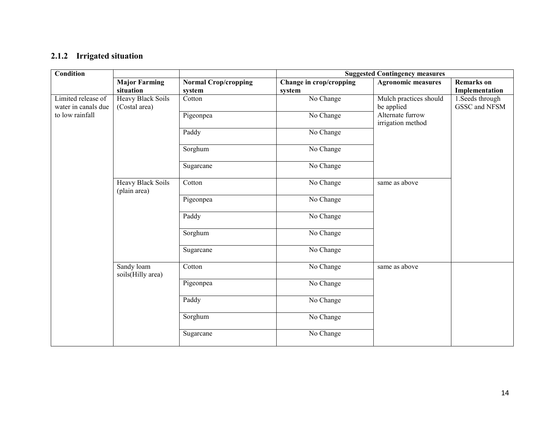#### 2.1.2 Irrigated situation

|                          |                                                                            | <b>Suggested Contingency measures</b> |                           |                                             |  |
|--------------------------|----------------------------------------------------------------------------|---------------------------------------|---------------------------|---------------------------------------------|--|
| <b>Major Farming</b>     | <b>Normal Crop/cropping</b>                                                | Change in crop/cropping               | <b>Agronomic measures</b> | <b>Remarks</b> on                           |  |
|                          | system                                                                     | system                                |                           | Implementation                              |  |
| (Costal area)            |                                                                            |                                       | be applied                | 1. Seeds through<br>GSSC and NFSM           |  |
|                          | Pigeonpea                                                                  | No Change                             | Alternate furrow          |                                             |  |
|                          | Paddy                                                                      | No Change                             |                           |                                             |  |
|                          | Sorghum                                                                    | No Change                             |                           |                                             |  |
|                          | Sugarcane                                                                  | No Change                             |                           |                                             |  |
| <b>Heavy Black Soils</b> | Cotton                                                                     | No Change                             | same as above             |                                             |  |
|                          | Pigeonpea                                                                  | No Change                             |                           |                                             |  |
|                          | Paddy                                                                      | No Change                             |                           |                                             |  |
|                          | Sorghum                                                                    | No Change                             |                           |                                             |  |
|                          | Sugarcane                                                                  | No Change                             |                           |                                             |  |
| Sandy loam               | Cotton                                                                     | No Change                             | same as above             |                                             |  |
|                          | Pigeonpea                                                                  | No Change                             |                           |                                             |  |
|                          | Paddy                                                                      | No Change                             |                           |                                             |  |
|                          | Sorghum                                                                    | No Change                             |                           |                                             |  |
|                          | Sugarcane                                                                  | No Change                             |                           |                                             |  |
|                          | situation<br><b>Heavy Black Soils</b><br>(plain area)<br>soils(Hilly area) | Cotton                                | No Change                 | Mulch practices should<br>irrigation method |  |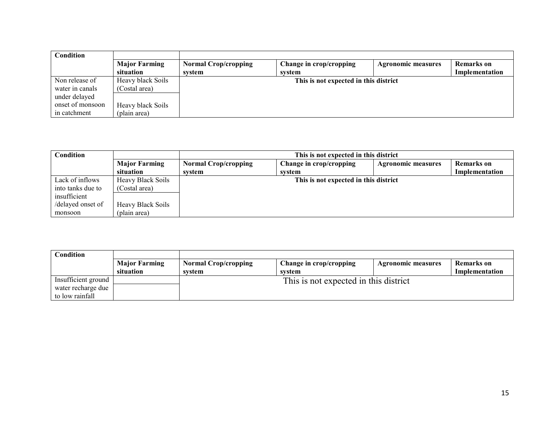| Condition        |                      |                             |                                       |                           |                   |
|------------------|----------------------|-----------------------------|---------------------------------------|---------------------------|-------------------|
|                  | <b>Major Farming</b> | <b>Normal Crop/cropping</b> | Change in crop/cropping               | <b>Agronomic measures</b> | <b>Remarks</b> on |
|                  | situation            | system                      | system                                |                           | Implementation    |
| Non release of   | Heavy black Soils    |                             | This is not expected in this district |                           |                   |
| water in canals  | (Costal area)        |                             |                                       |                           |                   |
| under delayed    |                      |                             |                                       |                           |                   |
| onset of monsoon | Heavy black Soils    |                             |                                       |                           |                   |
| in catchment     | (plain area)         |                             |                                       |                           |                   |

| Condition         |                          | This is not expected in this district |                                       |                           |                |
|-------------------|--------------------------|---------------------------------------|---------------------------------------|---------------------------|----------------|
|                   | <b>Major Farming</b>     | <b>Normal Crop/cropping</b>           | Change in crop/cropping               | <b>Agronomic measures</b> | Remarks on     |
|                   | situation                | system                                | system                                |                           | Implementation |
| Lack of inflows   | <b>Heavy Black Soils</b> |                                       | This is not expected in this district |                           |                |
| into tanks due to | (Costal area)            |                                       |                                       |                           |                |
| insufficient      |                          |                                       |                                       |                           |                |
| /delayed onset of | <b>Heavy Black Soils</b> |                                       |                                       |                           |                |
| monsoon           | (plain area)             |                                       |                                       |                           |                |

| Condition           |                      |                             |                                       |                    |                |
|---------------------|----------------------|-----------------------------|---------------------------------------|--------------------|----------------|
|                     | <b>Major Farming</b> | <b>Normal Crop/cropping</b> | Change in crop/cropping               | Agronomic measures | Remarks on     |
|                     | situation            | system                      | system                                |                    | Implementation |
| Insufficient ground |                      |                             | This is not expected in this district |                    |                |
| water recharge due  |                      |                             |                                       |                    |                |
| to low rainfall     |                      |                             |                                       |                    |                |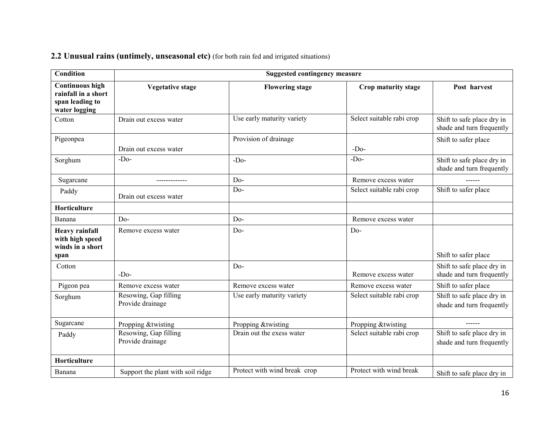|  |  |  |  | 2.2 Unusual rains (untimely, unseasonal etc) (for both rain fed and irrigated situations) |  |  |  |  |  |
|--|--|--|--|-------------------------------------------------------------------------------------------|--|--|--|--|--|
|--|--|--|--|-------------------------------------------------------------------------------------------|--|--|--|--|--|

| <b>Condition</b>                                                                  | <b>Suggested contingency measure</b>      |                              |                           |                                                         |  |
|-----------------------------------------------------------------------------------|-------------------------------------------|------------------------------|---------------------------|---------------------------------------------------------|--|
| <b>Continuous high</b><br>rainfall in a short<br>span leading to<br>water logging | <b>Vegetative stage</b>                   | <b>Flowering stage</b>       | Crop maturity stage       | Post harvest                                            |  |
| Cotton                                                                            | Drain out excess water                    | Use early maturity variety   | Select suitable rabi crop | Shift to safe place dry in<br>shade and turn frequently |  |
| Pigeonpea                                                                         | Drain out excess water                    | Provision of drainage        | $-Do-$                    | Shift to safer place                                    |  |
| Sorghum                                                                           | $-D0$                                     | $-Do-$                       | $-D0$                     | Shift to safe place dry in<br>shade and turn frequently |  |
| Sugarcane                                                                         |                                           | $Do-$                        | Remove excess water       |                                                         |  |
| Paddy                                                                             | Drain out excess water                    | $Do-$                        | Select suitable rabi crop | Shift to safer place                                    |  |
| Horticulture                                                                      |                                           |                              |                           |                                                         |  |
| Banana                                                                            | $Do-$                                     | $Do-$                        | Remove excess water       |                                                         |  |
| <b>Heavy rainfall</b><br>with high speed<br>winds in a short<br>span              | Remove excess water                       | Do-                          | Do-                       | Shift to safer place                                    |  |
| Cotton                                                                            | $-D0$                                     | $Do-$                        | Remove excess water       | Shift to safe place dry in<br>shade and turn frequently |  |
| Pigeon pea                                                                        | Remove excess water                       | Remove excess water          | Remove excess water       | Shift to safer place                                    |  |
| Sorghum                                                                           | Resowing, Gap filling<br>Provide drainage | Use early maturity variety   | Select suitable rabi crop | Shift to safe place dry in<br>shade and turn frequently |  |
| Sugarcane                                                                         | Propping &twisting                        | Propping &twisting           | Propping &twisting        | ------                                                  |  |
| Paddy                                                                             | Resowing, Gap filling<br>Provide drainage | Drain out the exess water    | Select suitable rabi crop | Shift to safe place dry in<br>shade and turn frequently |  |
| Horticulture                                                                      |                                           |                              |                           |                                                         |  |
| Banana                                                                            | Support the plant with soil ridge         | Protect with wind break crop | Protect with wind break   | Shift to safe place dry in                              |  |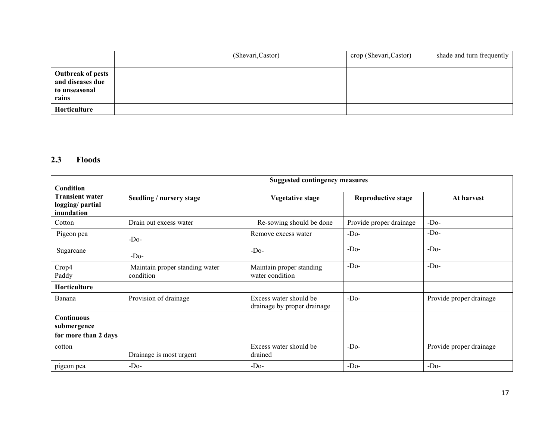|                                                                        | (Shevari, Castor) | crop (Shevari, Castor) | shade and turn frequently |
|------------------------------------------------------------------------|-------------------|------------------------|---------------------------|
| <b>Outbreak of pests</b><br>and diseases due<br>to unseasonal<br>rains |                   |                        |                           |
| Horticulture                                                           |                   |                        |                           |

#### 2.3 Floods

|                                                                             | <b>Suggested contingency measures</b>       |                                                       |                           |                         |  |
|-----------------------------------------------------------------------------|---------------------------------------------|-------------------------------------------------------|---------------------------|-------------------------|--|
| <b>Condition</b><br><b>Transient water</b><br>logging/partial<br>inundation | Seedling / nursery stage                    | <b>Vegetative stage</b>                               | <b>Reproductive stage</b> | At harvest              |  |
| Cotton                                                                      | Drain out excess water                      | Re-sowing should be done                              | Provide proper drainage   | $-Do-$                  |  |
| Pigeon pea                                                                  | $-Do-$                                      | Remove excess water                                   | $-D0$                     | $-Do-$                  |  |
| Sugarcane                                                                   | $-D0$                                       | $-D0$                                                 | $-Do-$                    | $-Do-$                  |  |
| Crop4<br>Paddy                                                              | Maintain proper standing water<br>condition | Maintain proper standing<br>water condition           | $-Do-$                    | $-Do-$                  |  |
| Horticulture                                                                |                                             |                                                       |                           |                         |  |
| Banana                                                                      | Provision of drainage                       | Excess water should be<br>drainage by proper drainage | $-Do-$                    | Provide proper drainage |  |
| <b>Continuous</b><br>submergence                                            |                                             |                                                       |                           |                         |  |
| for more than 2 days                                                        |                                             |                                                       |                           |                         |  |
| cotton                                                                      | Drainage is most urgent                     | Excess water should be<br>drained                     | $-D0$                     | Provide proper drainage |  |
| pigeon pea                                                                  | $-D0$                                       | $-D0$                                                 | $-D0$                     | $-D0$                   |  |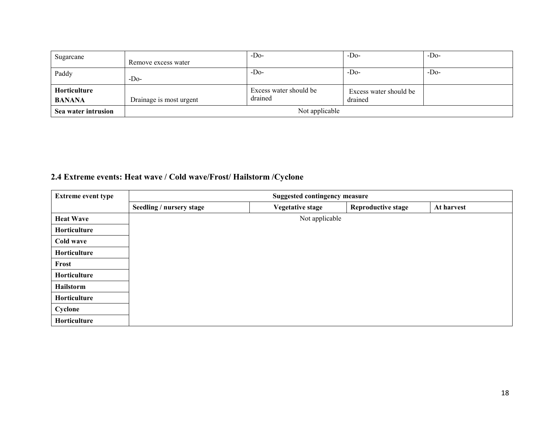| Sugarcane           |                         | $-D0$                  | $-D0$                  | $-D0$ |
|---------------------|-------------------------|------------------------|------------------------|-------|
|                     | Remove excess water     |                        |                        |       |
| Paddy               |                         | $-D0$                  | $-D0$                  | $-Do$ |
|                     | $-D0$                   |                        |                        |       |
| Horticulture        |                         | Excess water should be | Excess water should be |       |
| <b>BANANA</b>       | Drainage is most urgent | drained                | drained                |       |
| Sea water intrusion | Not applicable          |                        |                        |       |

## 2.4 Extreme events: Heat wave / Cold wave/Frost/ Hailstorm /Cyclone

| <b>Extreme event type</b> | <b>Suggested contingency measure</b> |                         |                           |            |  |
|---------------------------|--------------------------------------|-------------------------|---------------------------|------------|--|
|                           | Seedling / nursery stage             | <b>Vegetative stage</b> | <b>Reproductive stage</b> | At harvest |  |
| <b>Heat Wave</b>          |                                      | Not applicable          |                           |            |  |
| Horticulture              |                                      |                         |                           |            |  |
| Cold wave                 |                                      |                         |                           |            |  |
| Horticulture              |                                      |                         |                           |            |  |
| Frost                     |                                      |                         |                           |            |  |
| Horticulture              |                                      |                         |                           |            |  |
| Hailstorm                 |                                      |                         |                           |            |  |
| Horticulture              |                                      |                         |                           |            |  |
| Cyclone                   |                                      |                         |                           |            |  |
| Horticulture              |                                      |                         |                           |            |  |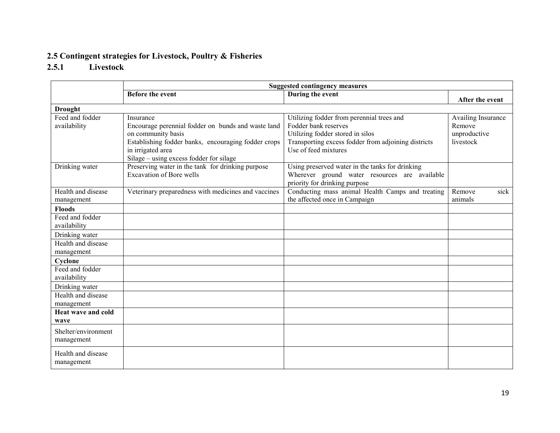### 2.5 Contingent strategies for Livestock, Poultry & Fisheries

### 2.5.1 Livestock

|                                   | <b>Suggested contingency measures</b>                                                                                                                                                                        |                                                                                                                                                                                      |                                                           |  |  |
|-----------------------------------|--------------------------------------------------------------------------------------------------------------------------------------------------------------------------------------------------------------|--------------------------------------------------------------------------------------------------------------------------------------------------------------------------------------|-----------------------------------------------------------|--|--|
|                                   | <b>Before the event</b>                                                                                                                                                                                      | During the event                                                                                                                                                                     | After the event                                           |  |  |
| <b>Drought</b>                    |                                                                                                                                                                                                              |                                                                                                                                                                                      |                                                           |  |  |
| Feed and fodder<br>availability   | Insurance<br>Encourage perennial fodder on bunds and waste land<br>on community basis<br>Establishing fodder banks, encouraging fodder crops<br>in irrigated area<br>Silage – using excess fodder for silage | Utilizing fodder from perennial trees and<br>Fodder bank reserves<br>Utilizing fodder stored in silos<br>Transporting excess fodder from adjoining districts<br>Use of feed mixtures | Availing Insurance<br>Remove<br>unproductive<br>livestock |  |  |
| Drinking water                    | Preserving water in the tank for drinking purpose<br><b>Excavation of Bore wells</b>                                                                                                                         | Using preserved water in the tanks for drinking<br>Wherever ground water resources are available<br>priority for drinking purpose                                                    |                                                           |  |  |
| Health and disease<br>management  | Veterinary preparedness with medicines and vaccines                                                                                                                                                          | Conducting mass animal Health Camps and treating<br>the affected once in Campaign                                                                                                    | Remove<br>sick<br>animals                                 |  |  |
| <b>Floods</b>                     |                                                                                                                                                                                                              |                                                                                                                                                                                      |                                                           |  |  |
| Feed and fodder<br>availability   |                                                                                                                                                                                                              |                                                                                                                                                                                      |                                                           |  |  |
| Drinking water                    |                                                                                                                                                                                                              |                                                                                                                                                                                      |                                                           |  |  |
| Health and disease<br>management  |                                                                                                                                                                                                              |                                                                                                                                                                                      |                                                           |  |  |
| Cyclone                           |                                                                                                                                                                                                              |                                                                                                                                                                                      |                                                           |  |  |
| Feed and fodder<br>availability   |                                                                                                                                                                                                              |                                                                                                                                                                                      |                                                           |  |  |
| Drinking water                    |                                                                                                                                                                                                              |                                                                                                                                                                                      |                                                           |  |  |
| Health and disease<br>management  |                                                                                                                                                                                                              |                                                                                                                                                                                      |                                                           |  |  |
| Heat wave and cold<br>wave        |                                                                                                                                                                                                              |                                                                                                                                                                                      |                                                           |  |  |
| Shelter/environment<br>management |                                                                                                                                                                                                              |                                                                                                                                                                                      |                                                           |  |  |
| Health and disease<br>management  |                                                                                                                                                                                                              |                                                                                                                                                                                      |                                                           |  |  |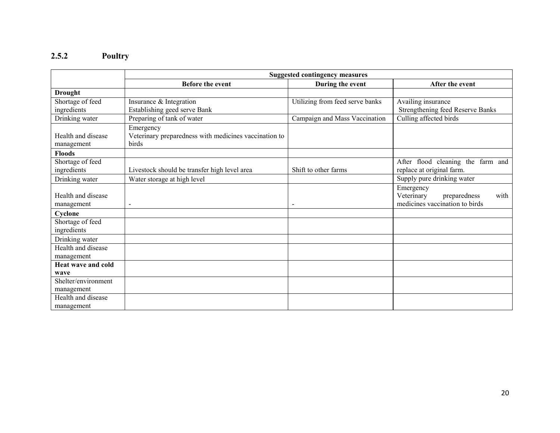#### 2.5.2 Poultry

|                                  | <b>Suggested contingency measures</b>                                       |                                 |                                                                                   |  |
|----------------------------------|-----------------------------------------------------------------------------|---------------------------------|-----------------------------------------------------------------------------------|--|
|                                  | <b>Before the event</b>                                                     | During the event                | After the event                                                                   |  |
| <b>Drought</b>                   |                                                                             |                                 |                                                                                   |  |
| Shortage of feed                 | Insurance & Integration                                                     | Utilizing from feed serve banks | Availing insurance                                                                |  |
| ingredients                      | Establishing geed serve Bank                                                |                                 | Strengthening feed Reserve Banks                                                  |  |
| Drinking water                   | Preparing of tank of water                                                  | Campaign and Mass Vaccination   | Culling affected birds                                                            |  |
| Health and disease<br>management | Emergency<br>Veterinary preparedness with medicines vaccination to<br>birds |                                 |                                                                                   |  |
| <b>Floods</b>                    |                                                                             |                                 |                                                                                   |  |
| Shortage of feed<br>ingredients  | Livestock should be transfer high level area                                | Shift to other farms            | After flood cleaning the farm and<br>replace at original farm.                    |  |
| Drinking water                   | Water storage at high level                                                 |                                 | Supply pure drinking water                                                        |  |
| Health and disease<br>management |                                                                             |                                 | Emergency<br>Veterinary<br>preparedness<br>with<br>medicines vaccination to birds |  |
| Cyclone                          |                                                                             |                                 |                                                                                   |  |
| Shortage of feed<br>ingredients  |                                                                             |                                 |                                                                                   |  |
| Drinking water                   |                                                                             |                                 |                                                                                   |  |
| Health and disease               |                                                                             |                                 |                                                                                   |  |
| management                       |                                                                             |                                 |                                                                                   |  |
| Heat wave and cold               |                                                                             |                                 |                                                                                   |  |
| wave                             |                                                                             |                                 |                                                                                   |  |
| Shelter/environment              |                                                                             |                                 |                                                                                   |  |
| management<br>Health and disease |                                                                             |                                 |                                                                                   |  |
| management                       |                                                                             |                                 |                                                                                   |  |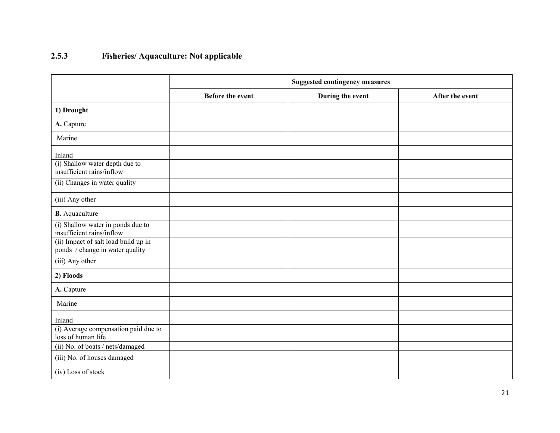## 2.5.3 Fisheries/ Aquaculture: Not applicable

|                                                                         | <b>Suggested contingency measures</b> |                  |                 |  |
|-------------------------------------------------------------------------|---------------------------------------|------------------|-----------------|--|
|                                                                         | <b>Before the event</b>               | During the event | After the event |  |
| 1) Drought                                                              |                                       |                  |                 |  |
| A. Capture                                                              |                                       |                  |                 |  |
| Marine                                                                  |                                       |                  |                 |  |
| Inland                                                                  |                                       |                  |                 |  |
| (i) Shallow water depth due to<br>insufficient rains/inflow             |                                       |                  |                 |  |
| (ii) Changes in water quality                                           |                                       |                  |                 |  |
| (iii) Any other                                                         |                                       |                  |                 |  |
| <b>B.</b> Aquaculture                                                   |                                       |                  |                 |  |
| (i) Shallow water in ponds due to<br>insufficient rains/inflow          |                                       |                  |                 |  |
| (ii) Impact of salt load build up in<br>ponds / change in water quality |                                       |                  |                 |  |
| (iii) Any other                                                         |                                       |                  |                 |  |
| 2) Floods                                                               |                                       |                  |                 |  |
| A. Capture                                                              |                                       |                  |                 |  |
| Marine                                                                  |                                       |                  |                 |  |
| Inland                                                                  |                                       |                  |                 |  |
| (i) Average compensation paid due to<br>loss of human life              |                                       |                  |                 |  |
| (ii) No. of boats / nets/damaged                                        |                                       |                  |                 |  |
| (iii) No. of houses damaged                                             |                                       |                  |                 |  |
| (iv) Loss of stock                                                      |                                       |                  |                 |  |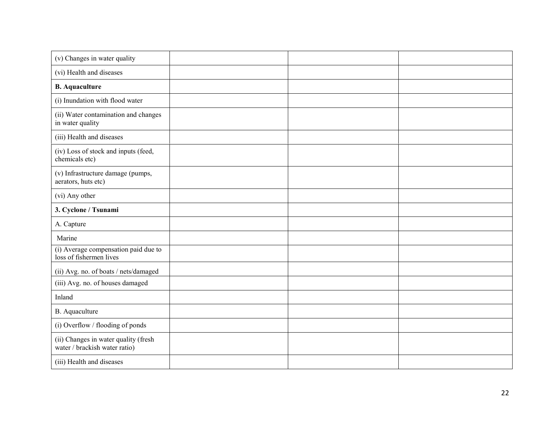| (v) Changes in water quality                                          |  |  |
|-----------------------------------------------------------------------|--|--|
| (vi) Health and diseases                                              |  |  |
| <b>B.</b> Aquaculture                                                 |  |  |
| (i) Inundation with flood water                                       |  |  |
| (ii) Water contamination and changes<br>in water quality              |  |  |
| (iii) Health and diseases                                             |  |  |
| (iv) Loss of stock and inputs (feed,<br>chemicals etc)                |  |  |
| (v) Infrastructure damage (pumps,<br>aerators, huts etc)              |  |  |
| (vi) Any other                                                        |  |  |
| 3. Cyclone / Tsunami                                                  |  |  |
| A. Capture                                                            |  |  |
| Marine                                                                |  |  |
| (i) Average compensation paid due to<br>loss of fishermen lives       |  |  |
| (ii) Avg. no. of boats / nets/damaged                                 |  |  |
| (iii) Avg. no. of houses damaged                                      |  |  |
| Inland                                                                |  |  |
| B. Aquaculture                                                        |  |  |
| (i) Overflow / flooding of ponds                                      |  |  |
| (ii) Changes in water quality (fresh<br>water / brackish water ratio) |  |  |
| (iii) Health and diseases                                             |  |  |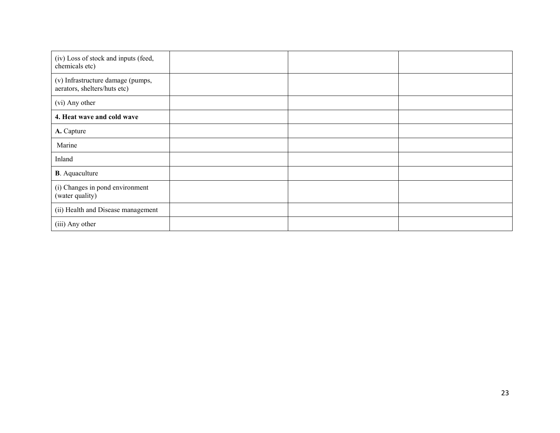| (iv) Loss of stock and inputs (feed,<br>chemicals etc)            |  |  |
|-------------------------------------------------------------------|--|--|
| (v) Infrastructure damage (pumps,<br>aerators, shelters/huts etc) |  |  |
| (vi) Any other                                                    |  |  |
| 4. Heat wave and cold wave                                        |  |  |
| A. Capture                                                        |  |  |
| Marine                                                            |  |  |
| Inland                                                            |  |  |
| <b>B</b> . Aquaculture                                            |  |  |
| (i) Changes in pond environment<br>(water quality)                |  |  |
| (ii) Health and Disease management                                |  |  |
| (iii) Any other                                                   |  |  |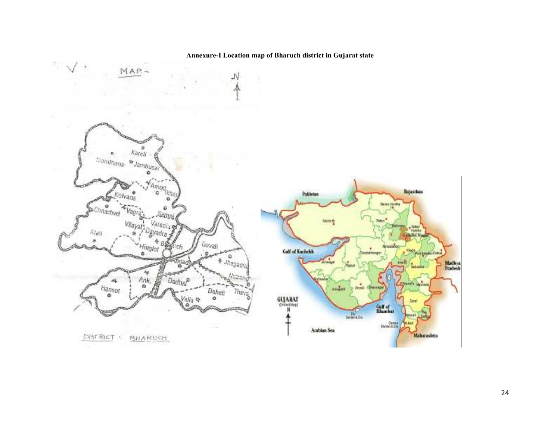#### Annexure-I Location map of Bharuch district in Gujarat state